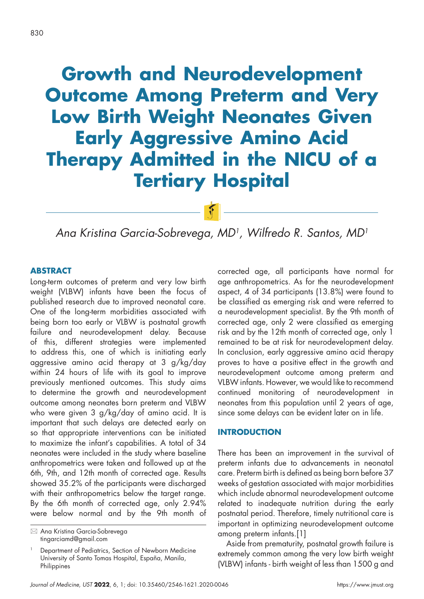# **Growth and Neurodevelopment Outcome Among Preterm and Very Low Birth Weight Neonates Given Early Aggressive Amino Acid Therapy Admitted in the NICU of a Tertiary Hospital**

*Ana Kristina Garcia-Sobrevega, MD1, Wilfredo R. Santos, MD1*

#### **ABSTRACT**

Long-term outcomes of preterm and very low birth weight (VLBW) infants have been the focus of published research due to improved neonatal care. One of the long-term morbidities associated with being born too early or VLBW is postnatal growth failure and neurodevelopment delay. Because of this, different strategies were implemented to address this, one of which is initiating early aggressive amino acid therapy at 3 g/kg/day within 24 hours of life with its goal to improve previously mentioned outcomes. This study aims to determine the growth and neurodevelopment outcome among neonates born preterm and VLBW who were given 3 g/kg/day of amino acid. It is important that such delays are detected early on so that appropriate interventions can be initiated to maximize the infant's capabilities. A total of 34 neonates were included in the study where baseline anthropometrics were taken and followed up at the 6th, 9th, and 12th month of corrected age. Results showed 35.2% of the participants were discharged with their anthropometrics below the target range. By the 6th month of corrected age, only 2.94% were below normal and by the 9th month of corrected age, all participants have normal for age anthropometrics. As for the neurodevelopment aspect, 4 of 34 participants (13.8%) were found to be classified as emerging risk and were referred to a neurodevelopment specialist. By the 9th month of corrected age, only 2 were classified as emerging risk and by the 12th month of corrected age, only 1 remained to be at risk for neurodevelopment delay. In conclusion, early aggressive amino acid therapy proves to have a positive effect in the growth and neurodevelopment outcome among preterm and VLBW infants. However, we would like to recommend continued monitoring of neurodevelopment in neonates from this population until 2 years of age, since some delays can be evident later on in life.

### **INTRODUCTION**

There has been an improvement in the survival of preterm infants due to advancements in neonatal care. Preterm birth is defined as being born before 37 weeks of gestation associated with major morbidities which include abnormal neurodevelopment outcome related to inadequate nutrition during the early postnatal period. Therefore, timely nutritional care is important in optimizing neurodevelopment outcome among preterm infants.[1]

Aside from prematurity, postnatal growth failure is extremely common among the very low birth weight (VLBW) infants - birth weight of less than 1500 g and

 Ana Kristina Garcia-Sobrevega tingarciamd@gmail.com

Department of Pediatrics, Section of Newborn Medicine University of Santo Tomas Hospital, España, Manila, **Philippines**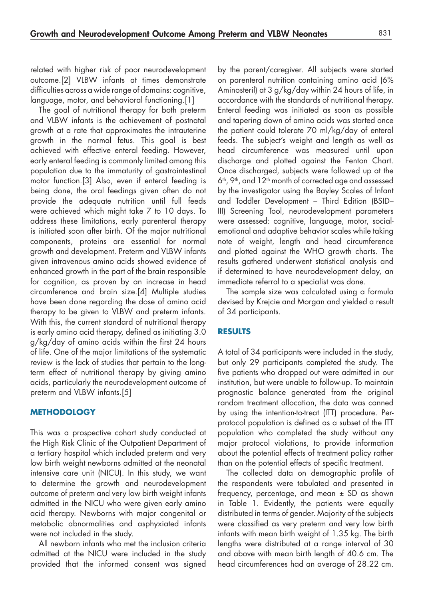related with higher risk of poor neurodevelopment outcome.[2] VLBW infants at times demonstrate difficulties across a wide range of domains: cognitive, language, motor, and behavioral functioning.[1]

The goal of nutritional therapy for both preterm and VLBW infants is the achievement of postnatal growth at a rate that approximates the intrauterine growth in the normal fetus. This goal is best achieved with effective enteral feeding. However, early enteral feeding is commonly limited among this population due to the immaturity of gastrointestinal motor function.[3] Also, even if enteral feeding is being done, the oral feedings given often do not provide the adequate nutrition until full feeds were achieved which might take 7 to 10 days. To address these limitations, early parenteral therapy is initiated soon after birth. Of the major nutritional components, proteins are essential for normal growth and development. Preterm and VLBW infants given intravenous amino acids showed evidence of enhanced growth in the part of the brain responsible for cognition, as proven by an increase in head circumference and brain size.[4] Multiple studies have been done regarding the dose of amino acid therapy to be given to VLBW and preterm infants. With this, the current standard of nutritional therapy is early amino acid therapy, defined as initiating 3.0 g/kg/day of amino acids within the first 24 hours of life. One of the major limitations of the systematic review is the lack of studies that pertain to the longterm effect of nutritional therapy by giving amino acids, particularly the neurodevelopment outcome of preterm and VLBW infants.[5]

#### **METHODOLOGY**

This was a prospective cohort study conducted at the High Risk Clinic of the Outpatient Department of a tertiary hospital which included preterm and very low birth weight newborns admitted at the neonatal intensive care unit (NICU). In this study, we want to determine the growth and neurodevelopment outcome of preterm and very low birth weight infants admitted in the NICU who were given early amino acid therapy. Newborns with major congenital or metabolic abnormalities and asphyxiated infants were not included in the study.

All newborn infants who met the inclusion criteria admitted at the NICU were included in the study provided that the informed consent was signed by the parent/caregiver. All subjects were started on parenteral nutrition containing amino acid (6% Aminosteril) at 3 g/kg/day within 24 hours of life, in accordance with the standards of nutritional therapy. Enteral feeding was initiated as soon as possible and tapering down of amino acids was started once the patient could tolerate 70 ml/kg/day of enteral feeds. The subject's weight and length as well as head circumference was measured until upon discharge and plotted against the Fenton Chart. Once discharged, subjects were followed up at the  $6<sup>th</sup>$ , 9<sup>th</sup>, and 12<sup>th</sup> month of corrected age and assessed by the investigator using the Bayley Scales of Infant and Toddler Development – Third Edition (BSID– III) Screening Tool, neurodevelopment parameters were assessed: cognitive, language, motor, socialemotional and adaptive behavior scales while taking note of weight, length and head circumference and plotted against the WHO growth charts. The results gathered underwent statistical analysis and if determined to have neurodevelopment delay, an immediate referral to a specialist was done.

The sample size was calculated using a formula devised by Krejcie and Morgan and yielded a result of 34 participants.

#### **RESULTS**

A total of 34 participants were included in the study, but only 29 participants completed the study. The five patients who dropped out were admitted in our institution, but were unable to follow-up. To maintain prognostic balance generated from the original random treatment allocation, the data was canned by using the intention-to-treat (ITT) procedure. Perprotocol population is defined as a subset of the ITT population who completed the study without any major protocol violations, to provide information about the potential effects of treatment policy rather than on the potential effects of specific treatment.

The collected data on demographic profile of the respondents were tabulated and presented in frequency, percentage, and mean ± SD as shown in Table 1. Evidently, the patients were equally distributed in terms of gender. Majority of the subjects were classified as very preterm and very low birth infants with mean birth weight of 1.35 kg. The birth lengths were distributed at a range interval of 30 and above with mean birth length of 40.6 cm. The head circumferences had an average of 28.22 cm.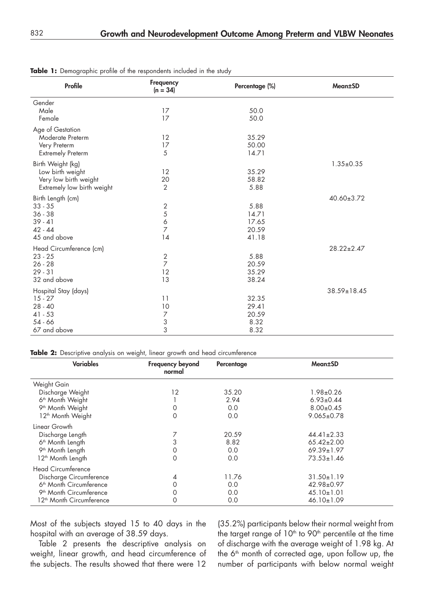| <b>Profile</b>                                                                               | Frequency<br>$(n = 34)$                      | Percentage (%)                           | <b>Mean±SD</b>   |
|----------------------------------------------------------------------------------------------|----------------------------------------------|------------------------------------------|------------------|
| Gender<br>Male<br>Female                                                                     | 17<br>17                                     | 50.0<br>50.0                             |                  |
| Age of Gestation<br>Moderate Preterm<br>Very Preterm<br><b>Extremely Preterm</b>             | 12<br>17<br>5                                | 35.29<br>50.00<br>14.71                  |                  |
| Birth Weight (kg)<br>Low birth weight<br>Very low birth weight<br>Extremely low birth weight | 12<br>20<br>$\overline{2}$                   | 35.29<br>58.82<br>5.88                   | $1.35 \pm 0.35$  |
| Birth Length (cm)<br>$33 - 35$<br>$36 - 38$<br>$39 - 41$<br>$42 - 44$<br>45 and above        | $\sqrt{2}$<br>5<br>6<br>7<br>14              | 5.88<br>14.71<br>17.65<br>20.59<br>41.18 | 40.60±3.72       |
| Head Circumference (cm)<br>$23 - 25$<br>$26 - 28$<br>$29 - 31$<br>32 and above               | $\overline{2}$<br>$\overline{7}$<br>12<br>13 | 5.88<br>20.59<br>35.29<br>38.24          | $28.22 \pm 2.47$ |
| Hospital Stay (days)<br>$15 - 27$<br>$28 - 40$<br>$41 - 53$<br>$54 - 66$<br>67 and above     | 11<br>10<br>$\overline{7}$<br>3<br>3         | 32.35<br>29.41<br>20.59<br>8.32<br>8.32  | 38.59±18.45      |

**Table 1:** Demographic profile of the respondents included in the study

**Table 2:** Descriptive analysis on weight, linear growth and head circumference

| <b>Variables</b>                     | <b>Frequency beyond</b><br>normal | Percentage | Mean±SD          |
|--------------------------------------|-----------------------------------|------------|------------------|
| Weight Gain                          |                                   |            |                  |
| Discharge Weight                     | 12                                | 35.20      | 1.98±0.26        |
| 6 <sup>th</sup> Month Weight         |                                   | 2.94       | $6.93 \pm 0.44$  |
| 9 <sup>th</sup> Month Weight         | O                                 | 0.0        | $8.00 \pm 0.45$  |
| 12 <sup>th</sup> Month Weight        | 0                                 | 0.0        | $9.065 \pm 0.78$ |
| Linear Growth                        |                                   |            |                  |
| Discharge Length                     |                                   | 20.59      | $44.41 \pm 2.33$ |
| 6 <sup>th</sup> Month Length         |                                   | 8.82       | $65.42 \pm 2.00$ |
| 9 <sup>th</sup> Month Length         | 0                                 | 0.0        | $69.39 \pm 1.97$ |
| 12 <sup>th</sup> Month Length        | 0                                 | 0.0        | $73.53 \pm 1.46$ |
| <b>Head Circumference</b>            |                                   |            |                  |
| Discharge Circumference              | 4                                 | 11.76      | $31.50 \pm 1.19$ |
| 6 <sup>th</sup> Month Circumference  | Ω                                 | 0.0        | 42.98±0.97       |
| 9 <sup>th</sup> Month Circumference  | 0                                 | 0.0        | $45.10 \pm 1.01$ |
| 12 <sup>th</sup> Month Circumference | 0                                 | 0.0        | $46.10 \pm 1.09$ |

Most of the subjects stayed 15 to 40 days in the hospital with an average of 38.59 days.

Table 2 presents the descriptive analysis on weight, linear growth, and head circumference of the subjects. The results showed that there were 12

(35.2%) participants below their normal weight from the target range of  $10<sup>th</sup>$  to  $90<sup>th</sup>$  percentile at the time of discharge with the average weight of 1.98 kg. At the 6<sup>th</sup> month of corrected age, upon follow up, the number of participants with below normal weight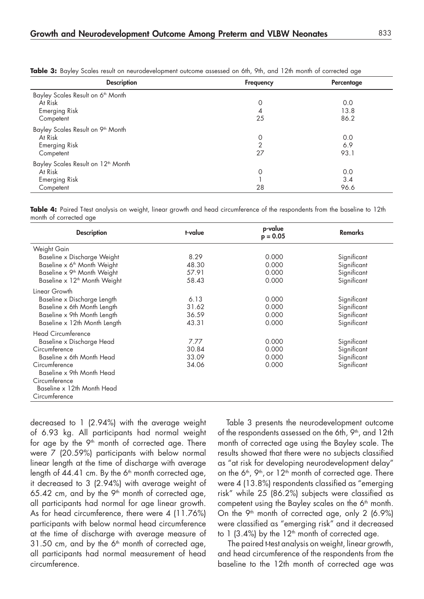| <b>Description</b>                             | Frequency | Percentage |
|------------------------------------------------|-----------|------------|
| Bayley Scales Result on 6 <sup>th</sup> Month  |           |            |
| At Risk                                        | 0         | 0.0        |
| <b>Emerging Risk</b>                           | 4         | 13.8       |
| Competent                                      | 25        | 86.2       |
| Bayley Scales Result on 9th Month              |           |            |
| At Risk                                        | 0         | 0.0        |
| <b>Emerging Risk</b>                           | ⌒         | 6.9        |
| Competent                                      | 27        | 93.1       |
| Bayley Scales Result on 12 <sup>th</sup> Month |           |            |
| At Risk                                        | 0         | 0.0        |
| <b>Emerging Risk</b>                           |           | 3.4        |
| Competent                                      | 28        | 96.6       |

**Table 3:** Bayley Scales result on neurodevelopment outcome assessed on 6th, 9th, and 12th month of corrected age

**Table 4:** Paired T-test analysis on weight, linear growth and head circumference of the respondents from the baseline to 12th month of corrected age

| <b>Description</b>                       | t-value | p-value<br>$p = 0.05$ | <b>Remarks</b> |
|------------------------------------------|---------|-----------------------|----------------|
| Weight Gain                              |         |                       |                |
| Baseline x Discharge Weight              | 8.29    | 0.000                 | Significant    |
| Baseline x 6 <sup>th</sup> Month Weight  | 48.30   | 0.000                 | Significant    |
| Baseline x 9 <sup>th</sup> Month Weight  | 57.91   | 0.000                 | Significant    |
| Baseline x 12 <sup>th</sup> Month Weight | 58.43   | 0.000                 | Significant    |
| Linear Growth                            |         |                       |                |
| Baseline x Discharge Length              | 6.13    | 0.000                 | Significant    |
| Baseline x 6th Month Length              | 31.62   | 0.000                 | Significant    |
| Baseline x 9th Month Length              | 36.59   | 0.000                 | Significant    |
| Baseline x 12th Month Length             | 43.31   | 0.000                 | Significant    |
| <b>Head Circumference</b>                |         |                       |                |
| Baseline x Discharge Head                | 7.77    | 0.000                 | Significant    |
| Circumference                            | 30.84   | 0.000                 | Significant    |
| Baseline x 6th Month Head                | 33.09   | 0.000                 | Significant    |
| Circumference                            | 34.06   | 0.000                 | Significant    |
| Baseline x 9th Month Head                |         |                       |                |
| Circumference                            |         |                       |                |
| Baseline x 12th Month Head               |         |                       |                |
| Circumference                            |         |                       |                |

decreased to 1 (2.94%) with the average weight of 6.93 kg. All participants had normal weight for age by the  $9<sup>th</sup>$  month of corrected age. There were 7 (20.59%) participants with below normal linear length at the time of discharge with average length of  $44.41$  cm. By the 6<sup>th</sup> month corrected age, it decreased to 3 (2.94%) with average weight of 65.42 cm, and by the  $9<sup>th</sup>$  month of corrected age, all participants had normal for age linear growth. As for head circumference, there were 4 (11.76%) participants with below normal head circumference at the time of discharge with average measure of  $31.50$  cm, and by the  $6<sup>th</sup>$  month of corrected age, all participants had normal measurement of head circumference.

Table 3 presents the neurodevelopment outcome of the respondents assessed on the 6th, 9<sup>th</sup>, and 12th month of corrected age using the Bayley scale. The results showed that there were no subjects classified as "at risk for developing neurodevelopment delay" on the  $6<sup>th</sup>$ ,  $9<sup>th</sup>$ , or  $12<sup>th</sup>$  month of corrected age. There were 4 (13.8%) respondents classified as "emerging risk" while 25 (86.2%) subjects were classified as competent using the Bayley scales on the 6<sup>th</sup> month. On the  $9<sup>th</sup>$  month of corrected age, only 2 (6.9%) were classified as "emerging risk" and it decreased to  $1$  (3.4%) by the  $12<sup>th</sup>$  month of corrected age.

 The paired t-test analysis on weight, linear growth, and head circumference of the respondents from the baseline to the 12th month of corrected age was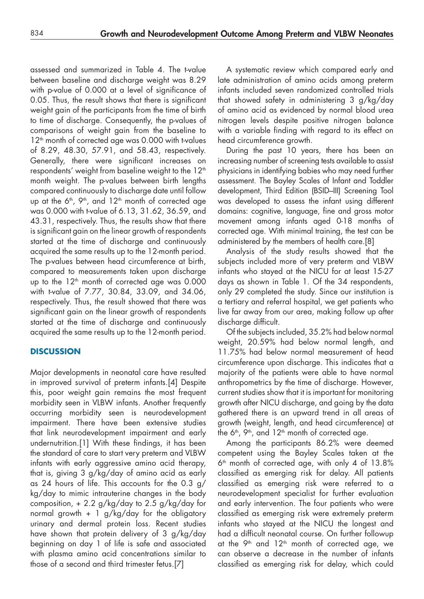assessed and summarized in Table 4. The t-value between baseline and discharge weight was 8.29 with p-value of 0.000 at a level of significance of 0.05. Thus, the result shows that there is significant weight gain of the participants from the time of birth to time of discharge. Consequently, the p-values of comparisons of weight gain from the baseline to 12<sup>th</sup> month of corrected age was 0.000 with t-values of 8.29, 48.30, 57.91, and 58.43, respectively. Generally, there were significant increases on respondents' weight from baseline weight to the 12<sup>th</sup> month weight. The p-values between birth lengths compared continuously to discharge date until follow up at the  $6<sup>th</sup>$ ,  $9<sup>th</sup>$ , and  $12<sup>th</sup>$  month of corrected age was 0.000 with t-value of 6.13, 31.62, 36.59, and 43.31, respectively. Thus, the results show that there is significant gain on the linear growth of respondents started at the time of discharge and continuously acquired the same results up to the 12-month period. The p-values between head circumference at birth, compared to measurements taken upon discharge up to the  $12<sup>th</sup>$  month of corrected age was 0.000 with t-value of 7.77, 30.84, 33.09, and 34.06, respectively. Thus, the result showed that there was significant gain on the linear growth of respondents started at the time of discharge and continuously acquired the same results up to the 12-month period.

# **DISCUSSION**

Major developments in neonatal care have resulted in improved survival of preterm infants.[4] Despite this, poor weight gain remains the most frequent morbidity seen in VLBW infants. Another frequently occurring morbidity seen is neurodevelopment impairment. There have been extensive studies that link neurodevelopment impairment and early undernutrition.[1] With these findings, it has been the standard of care to start very preterm and VLBW infants with early aggressive amino acid therapy, that is, giving 3 g/kg/day of amino acid as early as 24 hours of life. This accounts for the 0.3 g/ kg/day to mimic intrauterine changes in the body composition,  $+ 2.2$  g/kg/day to 2.5 g/kg/day for normal growth + 1 g/kg/day for the obligatory urinary and dermal protein loss. Recent studies have shown that protein delivery of 3 g/kg/day beginning on day 1 of life is safe and associated with plasma amino acid concentrations similar to those of a second and third trimester fetus.[7]

A systematic review which compared early and late administration of amino acids among preterm infants included seven randomized controlled trials that showed safety in administering 3 g/kg/day of amino acid as evidenced by normal blood urea nitrogen levels despite positive nitrogen balance with a variable finding with regard to its effect on head circumference growth.

During the past 10 years, there has been an increasing number of screening tests available to assist physicians in identifying babies who may need further assessment. The Bayley Scales of Infant and Toddler development, Third Edition (BSID–III) Screening Tool was developed to assess the infant using different domains: cognitive, language, fine and gross motor movement among infants aged 0-18 months of corrected age. With minimal training, the test can be administered by the members of health care.[8]

Analysis of the study results showed that the subjects included more of very preterm and VLBW infants who stayed at the NICU for at least 15-27 days as shown in Table 1. Of the 34 respondents, only 29 completed the study. Since our institution is a tertiary and referral hospital, we get patients who live far away from our area, making follow up after discharge difficult.

Of the subjects included, 35.2% had below normal weight, 20.59% had below normal length, and 11.75% had below normal measurement of head circumference upon discharge. This indicates that a majority of the patients were able to have normal anthropometrics by the time of discharge. However, current studies show that it is important for monitoring growth after NICU discharge, and going by the data gathered there is an upward trend in all areas of growth (weight, length, and head circumference) at the 6<sup>th</sup>, 9<sup>th</sup>, and  $12<sup>th</sup>$  month of corrected age.

Among the participants 86.2% were deemed competent using the Bayley Scales taken at the  $6<sup>th</sup>$  month of corrected age, with only 4 of  $13.8\%$ classified as emerging risk for delay. All patients classified as emerging risk were referred to a neurodevelopment specialist for further evaluation and early intervention. The four patients who were classified as emerging risk were extremely preterm infants who stayed at the NICU the longest and had a difficult neonatal course. On further followup at the 9<sup>th</sup> and 12<sup>th</sup> month of corrected age, we can observe a decrease in the number of infants classified as emerging risk for delay, which could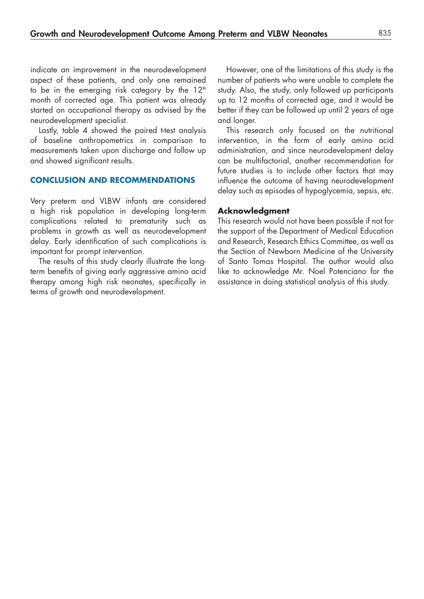indicate an improvement in the neurodevelopment aspect of these patients, and only one remained to be in the emerging risk category by the  $12<sup>th</sup>$ month of corrected age. This patient was already started on occupational therapy as advised by the neurodevelopment specialist.

Lastly, table 4 showed the paired t-test analysis of baseline anthropometrics in comparison to measurements taken upon discharge and follow up and showed significant results.

#### **CONCLUSION AND RECOMMENDATIONS**

Very preterm and VLBW infants are considered a high risk population in developing long-term complications related to prematurity such as problems in growth as well as neurodevelopment delay. Early identification of such complications is important for prompt intervention.

The results of this study clearly illustrate the longterm benefits of giving early aggressive amino acid therapy among high risk neonates, specifically in terms of growth and neurodevelopment.

However, one of the limitations of this study is the number of patients who were unable to complete the study. Also, the study, only followed up participants up to 12 months of corrected age, and it would be better if they can be followed up until 2 years of age and longer.

This research only focused on the nutritional intervention, in the form of early amino acid administration, and since neurodevelopment delay can be multifactorial, another recommendation for future studies is to include other factors that may influence the outcome of having neurodevelopment delay such as episodes of hypoglycemia, sepsis, etc.

#### **Acknowledgment**

This research would not have been possible if not for the support of the Department of Medical Education and Research, Research Ethics Committee, as well as the Section of Newborn Medicine of the University of Santo Tomas Hospital. The author would also like to acknowledge Mr. Noel Potenciano for the assistance in doing statistical analysis of this study.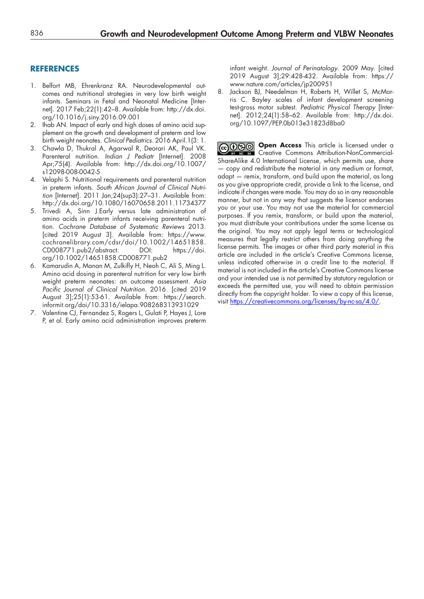#### **REFERENCES**

- 1. Belfort MB, Ehrenkranz RA. Neurodevelopmental outcomes and nutritional strategies in very low birth weight infants. Seminars in Fetal and Neonatal Medicine [Internet]. 2017 Feb;22(1):42–8. Available from: http://dx.doi. org/10.1016/j.siny.2016.09.001
- 2. Ihab AN. Impact of early and high doses of amino acid supplement on the growth and development of preterm and low birth weight neonates. *Clinical Pediatrics*. 2016 April.1(3: 1.
- 3. Chawla D, Thukral A, Agarwal R, Deorari AK, Paul VK. Parenteral nutrition. *Indian J Pediatr* [Internet]. 2008 Apr;75(4). Available from: http://dx.doi.org/10.1007/ s12098-008-0042-5
- 4. Velaphi S. Nutritional requirements and parenteral nutrition in preterm infants. *South African Journal of Clinical Nutrition* [Internet]. 2011 Jan;24(sup3):27–31. Available from: http://dx.doi.org/10.1080/16070658.2011.11734377
- 5. Trivedi A, Sinn J.Early versus late administration of amino acids in preterm infants receiving parenteral nutrition. *Cochrane Database of Systematic Reviews* 2013. [cited 2019 August 3]. Available from: [https://www.](https://www.cochranelibrary.com/cdsr/doi/10.1002/14651858.CD008771.pub2/abstract.) [cochranelibrary.com/cdsr/doi/10.1002/14651858.](https://www.cochranelibrary.com/cdsr/doi/10.1002/14651858.CD008771.pub2/abstract.) [CD008771.pub2/abstract.](https://www.cochranelibrary.com/cdsr/doi/10.1002/14651858.CD008771.pub2/abstract.) DOI: [https://doi.](https://doi.org/10.1002/14651858.CD008771.pub2) [org/10.1002/14651858.CD008771.pub2](https://doi.org/10.1002/14651858.CD008771.pub2)
- 6. Kamarudin A, Manan M, Zulkifly H, Neoh C, Ali S, Ming L. Amino acid dosing in parenteral nutrition for very low birth weight preterm neonates: an outcome assessment. *Asia Pacific Journal of Clinical Nutrition*. 2016. [cited 2019 August 3];25(1):53-61. Available from: https://search. informit.org/doi/10.3316/ielapa.908268313931029
- 7. Valentine CJ, Fernandez S, Rogers L, Gulati P, Hayes J, Lore P, et al. Early amino acid administration improves preterm

infant weight. *Journal of Perinatology*. 2009 May. [cited 2019 August 3];29:428-432. Available from: https:// www.nature.com/articles/jp200951

8. Jackson BJ, Needelman H, Roberts H, Willet S, McMorris C. Bayley scales of infant development screening test-gross motor subtest. *Pediatric Physical Therapy* [Internet]. 2012;24(1):58–62. Available from: [http://dx.doi.](http://dx.doi.org/10.1097/PEP.0b013e31823d8ba0) [org/10.1097/PEP.0b013e31823d8ba0](http://dx.doi.org/10.1097/PEP.0b013e31823d8ba0)

**COOD** Open Access This article is licensed under a Creative Commons Attribution-NonCommercial-ShareAlike 4.0 International License, which permits use, share — copy and redistribute the material in any medium or format, adapt — remix, transform, and build upon the material, as long as you give appropriate credit, provide a link to the license, and indicate if changes were made. You may do so in any reasonable manner, but not in any way that suggests the licensor endorses you or your use. You may not use the material for commercial purposes. If you remix, transform, or build upon the material, you must distribute your contributions under the same license as the original. You may not apply legal terms or technological measures that legally restrict others from doing anything the license permits. The images or other third party material in this article are included in the article's Creative Commons license, unless indicated otherwise in a credit line to the material. If material is not included in the article's Creative Commons license and your intended use is not permitted by statutory regulation or exceeds the permitted use, you will need to obtain permission directly from the copyright holder. To view a copy of this license, visit https://creativecommons.org/licenses/by-nc-sa/4.0/.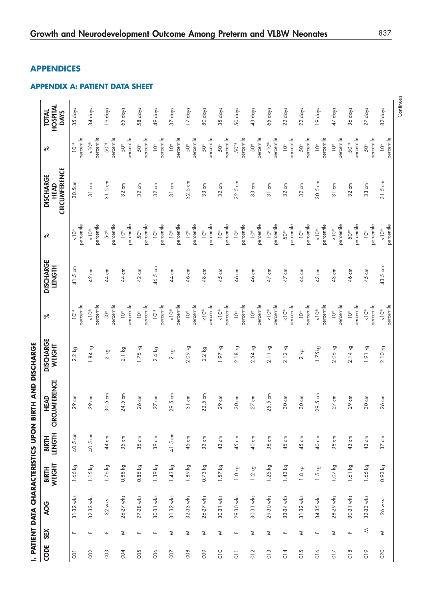| HOSPITAL<br><b>TOTAL</b><br><b>DAYS</b><br>ಸಿ    | 35 days<br>percentile<br>$10^{T}$  | 34 days<br>percentile<br>$\sum_{i=1}^{n}$ | 19 days<br>percentile<br>50TH  | 65 days<br>percentile<br>50 <sup>th</sup> | 58 days<br>percentile<br>50 <sup>th</sup> | 49 days<br>percentile<br>$\overline{O}$ | 37 days<br>percentile<br>10 <sup>th</sup> | 17 days<br>percentile<br>50 <sup>th</sup> | 80 days<br>percentile<br>50 <sup>#</sup> | 35 days<br>percentile<br>50 <sup>th</sup> | 50 days<br>percentile<br>$50^{\text{th}}$ | 43 days<br>percentile<br>50 <sup>th</sup> | 65 days<br>percentile<br>$\leq 10^{\text{th}}$ | 22 days<br>percentile<br>10 <sup>th</sup> | 22 days<br>percentile<br>50 <sup>#</sup> | 19 days<br>percentile<br>10 <sup>th</sup> | 47 days<br>percentile<br>10 <sup>th</sup> | 36 days<br>percentile<br>501н  | 27 days<br>percentile<br>50 <sup>#</sup> |  |
|--------------------------------------------------|------------------------------------|-------------------------------------------|--------------------------------|-------------------------------------------|-------------------------------------------|-----------------------------------------|-------------------------------------------|-------------------------------------------|------------------------------------------|-------------------------------------------|-------------------------------------------|-------------------------------------------|------------------------------------------------|-------------------------------------------|------------------------------------------|-------------------------------------------|-------------------------------------------|--------------------------------|------------------------------------------|--|
| <b>CIRCUMFERENCE</b><br><b>DISCHARGE</b><br>HEAD | 30.5cm                             | 31 cm                                     | 31.5 cm                        | 32 cm                                     | $32 \text{ cm}$                           | $32 \text{ cm}$                         | 31 cm                                     | 32.5 cm                                   | 33 cm                                    | $32 \text{ cm}$                           | 32.5 cm                                   | 33 cm                                     | 31 cm                                          | $32 \text{ cm}$                           | 32 cm                                    | $30.5 \text{ cm}$                         | 31 cm                                     | $32 \text{ cm}$                | $33 \text{ cm}$                          |  |
| ಸ                                                | percentile<br>$\frac{1}{\sqrt{2}}$ | percentile<br>$\frac{1}{\sqrt{2}}$        | percentile<br>50 <sup>#</sup>  | percentile<br>$10^{\circ}$                | percentile<br>50 <sup>#</sup>             | percentile<br>$\sum_{i=1}^{n}$          | percentile<br>$\overline{O}^*$            | percentile<br>10 <sup>th</sup>            | percentile<br>10 <sup>th</sup>           | percentile<br>$\sum_{i=1}^{n}$            | percentile<br>$\sum_{i=1}^{n}$            | percentile<br>10 <sup>th</sup>            | percentile<br>$\overline{O}^*$                 | percentile<br>50 <sup>™</sup>             | percentile<br>10 <sup>th</sup>           | percentile<br>$\sum_{k=1}^{n}$            | percentile<br>$\leq 10^{\text{th}}$       | percentile<br>50TH             | percentile<br>$\sum_{i=1}^{n}$           |  |
| <b>DISCHARGE</b><br><b>HISNET</b>                | 41.5 cm                            | 42 cm                                     | 44 cm                          | 44 cm                                     | 42 cm                                     | 46.5 cm                                 | 44 cm                                     | 46 cm                                     | 48 cm                                    | 45 cm                                     | 46 cm                                     | 46 cm                                     | ξ<br>$\overline{4}$                            | ξ<br>$\overline{4}$                       | 44 cm                                    | 43 cm                                     | 43 cm                                     | 46 cm                          | 45 cm                                    |  |
| ಸ                                                | percentile<br>$10^{18}$            | percentile<br>$\sum_{k=1}^{n}$            | percentile<br>50 <sup>th</sup> | percentile<br>10 <sup>th</sup>            | percentile<br>Ť,                          | percentile<br>$10^{TH}$                 | percentile<br>$\frac{1}{2}$               | percentile<br>10 <sup>th</sup>            | percentile<br>$\sum_{k=1}^{n}$           | percentile<br>$-10th$                     | percentile<br>10 <sup>th</sup>            | percentile<br>$\sum_{i=1}^{n}$            | percentile<br>$< 10th$                         | percentile<br>$\leq 10^{th}$              | percentile<br>10 <sup>th</sup>           | percentile<br>$\sum_{k=1}^{n}$            | percentile<br>10 <sup>th</sup>            | percentile<br>$\sum_{i=1}^{n}$ | percentile<br>$\leq 10^{\text{th}}$      |  |
| <b>DISCHARGE</b><br>WEIGHT                       | $2.2$ kg                           | $1.84$ kg                                 | $2 \text{ kg}$                 | $2.1$ kg                                  | $1.75$ kg                                 | $2.4$ kg                                | $2$ kg                                    | 2.09 kg                                   | $2.2$ kg                                 | 1.97 kg                                   | $2.18$ kg                                 | $2.54$ kg                                 | 2.11 kg                                        | $2.12$ kg                                 | $2 \text{ kg}$                           | 1.75kg                                    | 2.06 kg                                   | $2.14$ kg                      | 1.91 kg                                  |  |
| <b>CUMFERENCE</b><br>HEAD<br>Ğ                   | 29 cm                              | 29 cm                                     | 30.5 cm                        | 24.5 cm                                   | $26 \text{ cm}$                           | $27 \text{ cm}$                         | 29.5 cm                                   | 31 cm                                     | $22.5 \text{ cm}$                        | 29 cm                                     | $30 \text{ cm}$                           | $27 \text{ cm}$                           | 25.5 cm                                        | 30 cm                                     | 30 cm                                    | 29.5 cm                                   | $27 \text{ cm}$                           | 29 cm                          | 30 cm                                    |  |
| <b>LENGTH</b><br><b>BIRTH</b>                    | 40.5 cm                            | 40.5 cm                                   | 44 cm                          | 35 cm                                     | 35 cm                                     | 39 cm                                   | 41.5 cm                                   | 45 cm                                     | 33 cm                                    | 43 cm                                     | 45 cm                                     | 40 cm                                     | 38 cm                                          | 45 cm                                     | 45 cm                                    | 40 cm                                     | 38 cm                                     | 43 cm                          | 43 cm                                    |  |
| WEIGHT<br><b>BIRTH</b>                           | 1.66 kg                            | $1.15$ kg                                 | $1.76$ kg                      | $0.88$ kg                                 | $0.85$ kg                                 | 1.39 kg                                 | $1.43$ kg                                 | 1.89 kg                                   | 0.73 kg                                  | $1.57$ kg                                 | 1.0 kg                                    | $1.2 \text{ kg}$                          | $1.25$ kg                                      | $1.43$ kg                                 | $1.8 \text{ kg}$                         | ତ୍ର<br>$\ddot{5}$                         | $1.07$ kg                                 | 1.61 kg                        | 1.66 kg                                  |  |
| <b>AOG</b>                                       | 31-32 wks                          | 32-33 wks                                 | $32 \text{ wks}$               | 26-27 wks                                 | 27-28 wks                                 | 30-31 wks                               | 31-32 wks                                 | 32-33 wks                                 | 26-27 wks                                | 30-31 wks                                 | 29-30 wks                                 | 30-31 wks                                 | 29-30 wks                                      | 33-34 wks                                 | 31-32 wks                                | 34-35 wks                                 | 28-29 wks                                 | 30-31 wks                      | 32-33 wks                                |  |
| <b>SEX</b>                                       | $\mathsf{L}\mathsf{L}$             | $\mathsf{L}\mathsf{L}$                    | $\mathsf{L}\mathsf{L}$         | $\leq$                                    | $\mathbf{L}$                              | $\underline{\mathsf{L}}$                | Σ                                         | ξ                                         | ξ                                        | ξ                                         | $\underline{\mathsf{L}}$                  | $\leq$                                    | ξ                                              | Щ                                         | ξ                                        | $\mathsf{L}\mathsf{L}$                    | $\lesssim$                                | $\mathbf{L}$                   | ξ                                        |  |
| CODE                                             | $\overline{O}$                     | 002                                       | 003                            | 004                                       | 005                                       | 006                                     | 007                                       | 008                                       | 009                                      | 010                                       | $\overline{0}$                            | 012                                       | 013                                            | 014                                       | 015                                      | 016                                       | $\overline{0}1\overline{7}$               | 018                            | 019                                      |  |

# Growth and Neurodevelopment Outcome Among Preterm and VLBW Neonates 837

## **APPENDICES**

#### **APPENDIX A: PATIENT DATA SHEET**

Continues Continues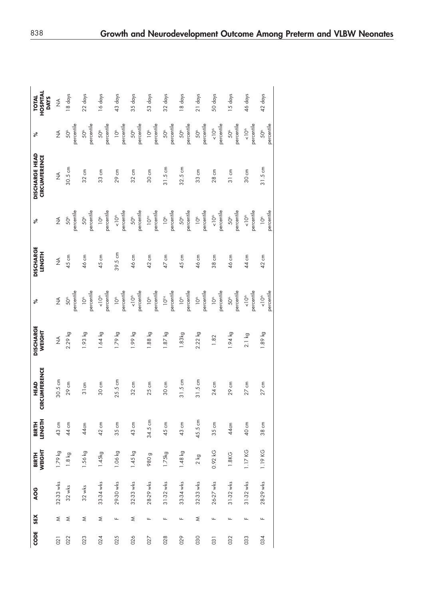| CODE | SEX | AOG              | <b>BIRTH<br/>WEIGHT</b> | LENGTH<br><b>BIRTH</b> | <b>CIRCUMFERENCE</b><br>HEAD | <b>DISCHARGE</b><br>WEIGHT | ್                                  | <b>DISCHARGE</b><br><b>LENGTH</b> | ್ನೇ                             | <b>DISCHARGE HEAD</b><br><b>CIRCUMFERENCE</b> | ್                              | HOSPITAL<br><b>TOTAL</b><br><b>DAYS</b> |
|------|-----|------------------|-------------------------|------------------------|------------------------------|----------------------------|------------------------------------|-----------------------------------|---------------------------------|-----------------------------------------------|--------------------------------|-----------------------------------------|
| 021  | ₹   | 32-33 wks        | 1.79 kg                 | 43 cm                  | $30.5 \text{ cm}$            | ₹                          | $\frac{1}{2}$                      | ₹                                 | $\frac{1}{2}$                   | $\frac{1}{2}$                                 | $\frac{1}{2}$                  | $\frac{1}{2}$                           |
| 022  | ₹   | $32 \text{ wks}$ | $1.8$ kg                | 44 cm                  | 29 cm                        | 2.29 kg                    | percentile<br>50 <sup>#</sup>      | 45 cm                             | percentile<br>50 <sup>th</sup>  | $30.5 \text{ cm}$                             | percentile<br>50 <sup>th</sup> | 8 days                                  |
| 023  | ₹   | $32$ wks         | $1.56$ kg               | 44cm                   | 31cm                         | 1.93 kg                    | percentile<br>$\overline{O}^*$     | 46 cm                             | percentile<br>50 <sup>th</sup>  | 32 cm                                         | percentile<br>50 <sup>th</sup> | 22 days                                 |
| 024  | ₹   | 33-34 wks        | 1.45kg                  | 42 cm                  | 30 cm                        | $1.64$ kg                  | percentile<br>$\frac{1}{\sqrt{2}}$ | 45 cm                             | percentile<br>10 <sup>th</sup>  | 33 cm                                         | percentile<br>50 <sup>th</sup> | 16 days                                 |
| 025  | щ   | 29-30 wks        | 1.06 kg                 | 35 cm                  | $25.5 \text{ cm}$            | 1.79 kg                    | percentile<br>10 <sup>th</sup>     | 39.5 cm                           | percentile<br>$-10th$           | 29 cm                                         | percentile<br>$\sum_{i=1}^{n}$ | 43 days                                 |
| 026  | ₹   | 32-33 wks        | $1.45$ kg               | 43 cm                  | $32 \text{ cm}$              | 1.99 kg                    | percentile<br>$\sum_{k=1}^{n}$     | 46 cm                             | percentile<br>50 <sup>th</sup>  | 32 cm                                         | percentile<br>50 <sup>th</sup> | 35 days                                 |
| 027  | щ   | 28-29 wks        | 980 <sub>g</sub>        | 34.5 cm                | $25 \text{ cm}$              | $1.88$ kg                  | percentile<br>$\overline{O}^*$     | 42 cm                             | percentile<br>$10^{m}$          | 30 cm                                         | percentile<br>$\sum_{i=1}^{n}$ | 53 days                                 |
| 028  | Щ   | 31-32 wks        | 1.75kg                  | 45 cm                  | 30 cm                        | $1.87$ kg                  | percentile<br>$10^{T}$             | 47 cm                             | percentile<br>$\sum_{i=1}^{n}$  | $31.5 \text{ cm}$                             | percentile<br>50 <sup>th</sup> | 32 days                                 |
| 029  | Щ   | 33-34 wks        | $1.48$ kg               | 43 cm                  | $31.5 \text{ cm}$            | 1.83kg                     | percentile<br>10 <sup>th</sup>     | 45 cm                             | percentile<br>50 <sup>th</sup>  | 32.5 cm                                       | percentile<br>50 <sup>th</sup> | 18 days                                 |
| 030  | ≳   | 32-33 wks        | 2 kg                    | 45.5 cm                | $31.5 \text{ cm}$            | $2.22$ kg                  | percentile<br>10 <sup>th</sup>     | 46 cm                             | percentile<br>$\sum_{i=1}^{n}$  | 33 cm                                         | percentile<br>50 <sup>th</sup> | 21 days                                 |
| 031  | щ   | 26-27 wks        | 0.92 kG                 | 35 cm                  | 24 cm                        | 1.82                       | percentile<br>10 <sup>th</sup>     | 38 cm                             | percentile<br>$<10th$           | 28 cm                                         | percentile<br>$<10th$          | 50 days                                 |
| 032  | Щ   | $31-32$ wks      | 1.8KG                   | 44cm                   | 29 cm                        | $1.94$ kg                  | percentile<br>50 <sup>#</sup>      | 46 cm                             | percentile<br>50 <sup>th</sup>  | 31 cm                                         | percentile<br>50 <sup>th</sup> | 15 days                                 |
| 033  | щ   | 31-32 wks        | 1.17 KG                 | 40 cm                  | 27 cm                        | $2.1$ kg                   | percentile<br>$\frac{1}{\sqrt{2}}$ | 44 cm                             | percentile<br>$\leq 10^{\circ}$ | 30 cm                                         | percentile<br>$<10th$          | 46 days                                 |
| 034  | щ   | 28-29 wks        | 1.19 KG                 | 38 cm                  | $27 \text{ cm}$              | 1.89 kg                    | percentile<br>$\frac{1}{\sqrt{2}}$ | 42 cm                             | percentile<br>$\sum_{i=1}^{n}$  | $31.5 \text{ cm}$                             | percentile<br>50 <sup>th</sup> | 42 days                                 |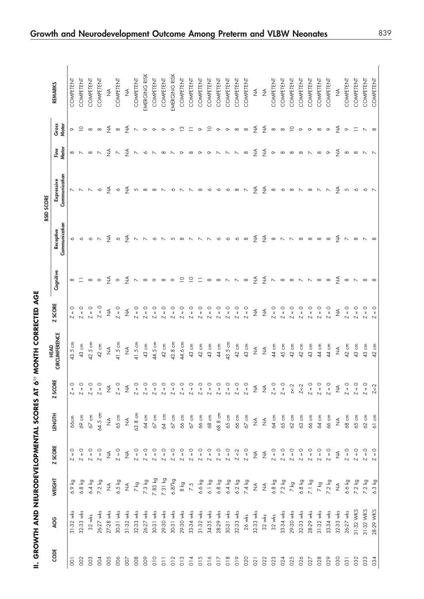|                 | II. GROWTH AND NEURODEVELOPMENTAL SCORES AT 6TH |                      |                                                       |                 |                      | MONTH CORRECTED AGE                                |                                                    |                                                                     |                                                                     |                                                                        |                                                                   |                                                          |                |
|-----------------|-------------------------------------------------|----------------------|-------------------------------------------------------|-----------------|----------------------|----------------------------------------------------|----------------------------------------------------|---------------------------------------------------------------------|---------------------------------------------------------------------|------------------------------------------------------------------------|-------------------------------------------------------------------|----------------------------------------------------------|----------------|
|                 |                                                 |                      |                                                       |                 |                      | <b>HEAD</b>                                        |                                                    |                                                                     |                                                                     | <b>BSID SCORE</b>                                                      |                                                                   |                                                          |                |
| CODE            | AOG                                             | WEIGHT               | <b>Z SCORE</b>                                        | <b>LENGTH</b>   | <b>ZSCORE</b>        | CIRCUMFERENCE                                      | <b>Z SCORE</b>                                     | Cognitive                                                           | Communication<br>Receptive                                          | Communication<br>Expressive                                            | Fine<br>Motor                                                     | Gross<br>Motor                                           | <b>REMARKS</b> |
| $\overline{O}$  | 31-32 wks                                       | 6.9 kg               | $\circ$<br>$\, \parallel$<br>$\overline{\phantom{a}}$ | 66cm            | $\circ$<br>$Z = 1$   | 43.5 cm                                            | $\circ$                                            |                                                                     |                                                                     |                                                                        |                                                                   |                                                          | COMPETENT      |
| 002             | 32-33 wks                                       | 6.8 kg               | $\circ$<br>$\overline{\mathsf{N}}$                    | 69 cm           | $Z = 0$              | 43 cm                                              | $\circ$<br>N N N                                   |                                                                     |                                                                     |                                                                        |                                                                   |                                                          | COMPETENT      |
| 003             | $32$ wks                                        | 6.4 kg               | $Z = 0$                                               | $67$ cm         | $Z = 0$              | 42.5 cm                                            | $\circ$                                            |                                                                     |                                                                     |                                                                        |                                                                   |                                                          | COMPETENT      |
| 004             | 26-27 wks                                       | 7.2 kg               | $Z = 0$                                               | 64.5 cm         | $Z = 0$              | 42 cm                                              | $\circ$<br>$\overline{\phantom{a}}$                | ∞ = ∞ ∞ ₹ ∞ ₹ ∧ ∞ ∞ ∞ ∞ 으 º = ∞ ∞ ∧ ∧ ∞ ₹ ₹ ∧ ∞ ∞ ∧ ∧ ∞ ∞ ₹ ∞ ∧ ∞ ∞ | o o o n z o z n n o n n o n n n o                                   | NNN o Z o Z n a a N o N N a o o                                        | ∞ N ∞ N Y N Y N ∞ N ∞ N ∞ ∞ O N N N ∞ Y Y O ∞ ∞ ∞ N ∞ O Y ∞ ∞ N N |                                                          | COMPETENT      |
| 005             | 27-28 wks                                       | $\widetilde{\Sigma}$ | $\frac{1}{2}$                                         | $\frac{1}{2}$   | $\frac{4}{2}$        | $\frac{1}{2}$                                      | $\frac{1}{2}$                                      |                                                                     |                                                                     |                                                                        |                                                                   |                                                          | $\lessgtr$     |
| 006             | 30-31 wks                                       | $6.5$ kg             | $Z = 0$                                               | $65 \text{ cm}$ | $Z = 0$              | 41.5 cm                                            | $Z = 0$                                            |                                                                     |                                                                     |                                                                        |                                                                   |                                                          | COMPETENT      |
| 007             | 31-32 wks                                       | $\frac{1}{2}$        | $\stackrel{\triangleleft}{\geq}$                      | $\frac{3}{2}$   | $\frac{3}{2}$        | $\frac{1}{2}$                                      | $\frac{1}{2}$                                      |                                                                     |                                                                     |                                                                        |                                                                   |                                                          | $\lessgtr$     |
| 008             | 32-33 wks                                       | 7 kg                 | $Z = 0$                                               | 63.8 cm         | $Z = 0$              | 41.5 cm                                            | $\circ$<br>$\overline{\mathsf{N}}$                 |                                                                     |                                                                     |                                                                        |                                                                   |                                                          | COMPETENT      |
| 009             | 26-27 wks                                       | 7.3 kg               | $Z = 0$                                               | 64 cm           | $Z = 1$              | 43 cm                                              | $\circ$<br>$\overline{\mathsf{N}}$                 |                                                                     |                                                                     |                                                                        |                                                                   |                                                          | EMERGING RISK  |
| 010             | 30-31 wks                                       | 7.83 kg              | $Z = 0$                                               | $67$ cm         | $Z = 1$              | 44.5 cm                                            | $\circ$<br>$\overline{\phantom{0}}$                |                                                                     |                                                                     |                                                                        |                                                                   |                                                          | COMPETENT      |
| $\overline{0}$  | 29-30 wks                                       | 7.31 kg              | $Z = 0$                                               | 64 cm           | $Z =$                | 42 cm                                              | $\circ$<br>$\overline{\phantom{a}}$                |                                                                     |                                                                     |                                                                        |                                                                   |                                                          | COMPETENT      |
| 012             | 30-31 wks                                       | 6.87kg               | $Z = 0$                                               | $67$ cm         | $Z =$                | 43.8 cm                                            | $\circ$<br>$\mathbf{I}$<br>$\overline{\mathsf{N}}$ |                                                                     |                                                                     |                                                                        |                                                                   |                                                          | EMERGING RISK  |
| 013             | 29-30 wks                                       | $8 \text{ kg}$       | $Z = 0$                                               | $66 \text{ cm}$ | $Z =$                | 44.6 cm                                            | $\circ$<br>$\overline{\phantom{0}}$                |                                                                     |                                                                     |                                                                        |                                                                   |                                                          | COMPETENT      |
| 014             | 33-34 wks                                       | 7.5                  | $Z = 0$                                               | $67$ cm         | O<br>$Z =$           | 43 cm                                              | $\circ$<br>$\overline{N}$                          |                                                                     |                                                                     |                                                                        |                                                                   |                                                          | COMPETENT      |
| 015             | 31-32 wks                                       | 6.6 kg               | $Z = 0$                                               | $66 \text{ cm}$ | O<br>$\mathbb N$     | 42 cm                                              | $\circ$<br>$\overline{N}$                          |                                                                     |                                                                     |                                                                        |                                                                   |                                                          | COMPETENT      |
| 016             | 34-35 wks                                       | $6.1$ kg             | $Z = 0$                                               | 68 cm           | $Z =$                | 43 cm                                              | $\circ$<br>$\overline{N}$                          |                                                                     |                                                                     |                                                                        |                                                                   |                                                          | COMPETENT      |
| $\frac{2}{10}$  | 28-29 wks                                       | $6.8$ kg             | $Z = 0$                                               | 68.8 cm         | $Z =$                | 44 cm                                              | $\circ$<br>$\overline{\phantom{a}}$                |                                                                     |                                                                     |                                                                        |                                                                   |                                                          | COMPETENT      |
| 018             | 30-31 wks                                       | $6.4$ kg             | $Z = 0$                                               | 65 cm           | $Z = 0$              | 43.5 cm                                            | $\circ$<br>$\overline{\phantom{a}}$                |                                                                     | $\sim$                                                              | $\sim$                                                                 |                                                                   |                                                          | COMPETENT      |
| 019             | 32-33 wks                                       | $6.2$ kg             | $Z \leq 2$                                            | $66 \text{ cm}$ | $Z = 0$              | 42 cm                                              | $Z = 0$                                            |                                                                     | $\sim$                                                              | $\infty$ N                                                             |                                                                   |                                                          | COMPETENT      |
| 020             | 26 wks                                          | 7.4 kg               | $Z = 0$                                               | $67$ cm         | $Z = 0$              | 43 cm                                              | $Z = 0$                                            |                                                                     | $\infty$                                                            |                                                                        |                                                                   |                                                          | COMPETENT      |
| 021             | 32-33 wks                                       | $\frac{1}{2}$        | $\frac{4}{2}$                                         | $\frac{3}{2}$   | $\frac{4}{2}$        | $\stackrel{\triangleleft}{\geq}$                   | $\frac{1}{2}$                                      |                                                                     | $\frac{4}{2}$                                                       |                                                                        |                                                                   |                                                          | $\lessgtr$     |
| 022             | $32$ wks                                        | $\lessgtr$           | $\frac{4}{2}$                                         | $\frac{1}{2}$   | ₹                    | $\mathop{\preceq}\limits_{\mathrel{{\mathsf{Z}}}}$ | $\frac{1}{2}$                                      |                                                                     |                                                                     | $Z$ $Z$ $\infty$ $\infty$ $\infty$ $\infty$ $\infty$ $\infty$ $\infty$ |                                                                   | $X \times \infty$ $Y \times \infty$                      | $\lessgtr$     |
| 023             | $32$ wks                                        | $6.8$ kg             | $Z = 0$                                               | 64 cm           | $Z = 0$              | 44 cm                                              | $Z = 0$                                            |                                                                     |                                                                     |                                                                        |                                                                   |                                                          | COMPETENT      |
| 024             | 33-34 wks                                       | $7.2$ kg             | $Z = 0$                                               | $65 \text{ cm}$ | $Z = 0$              | 45 cm                                              | $\circ$<br>$\overline{\mathsf{N}}$                 |                                                                     |                                                                     |                                                                        |                                                                   |                                                          | COMPETENT      |
| 025             | 29-30 wks                                       | 7 kg                 | $Z = 0$                                               | 62 cm           | $z < -2$             | 42 cm                                              | $\circ$<br>$\overline{\mathsf{N}}$                 |                                                                     |                                                                     |                                                                        |                                                                   |                                                          | COMPETENT      |
| 026             | 32-33 wks                                       | 6.8 kg               | $Z = 0$                                               | 63 cm           | $Z < -2$             | 42 cm                                              | $\circ$<br>$\overline{\phantom{a}}$                |                                                                     | $\frac{4}{2}$ $\infty$ $\wedge$ $\wedge$ $\infty$ $\infty$ $\infty$ |                                                                        |                                                                   |                                                          | COMPETENT      |
| 027             | 28-29 wks                                       | 7.1 kg               | $Z = 0$                                               | 66 cm           | $Z = 0$              | 43 cm                                              | $\circ$<br>$\overline{\mathsf{N}}$                 |                                                                     |                                                                     |                                                                        |                                                                   |                                                          | COMPETENT      |
| 028             | 31-32 wks                                       | 7 kg                 | $Z = 0$                                               | 64 cm           | $Z = 0$              | 44 cm                                              | $\circ$<br>$\mathbb N$                             |                                                                     |                                                                     |                                                                        |                                                                   |                                                          | COMPETENT      |
| 029             | 33-34 wks                                       | $7.2$ kg             | $Z = 0$                                               | 66 cm           | $Z = 0$              | 44 cm                                              | $\circ$<br>$\mathbb N$                             |                                                                     | $\infty$                                                            |                                                                        |                                                                   | $\circ$                                                  | COMPETENT      |
| 030             | 32-33 wks                                       | $\widetilde{\Sigma}$ | $\frac{1}{2}$                                         | $\frac{1}{2}$   | $\widetilde{\Sigma}$ | $\frac{1}{2}$                                      | $\frac{1}{2}$                                      |                                                                     |                                                                     |                                                                        |                                                                   |                                                          | $\lessgtr$     |
| $\overline{03}$ | $26-27$ wks                                     | 6.6 kg               | $Z = 0$                                               | 68 cm           | $Z = 0$              | 42 cm                                              | $\circ$<br>$\mathbb N$                             |                                                                     |                                                                     |                                                                        |                                                                   |                                                          | COMPETENT      |
| 032             | 31-32 WKS                                       | 7.2 kg               | $Z=0$                                                 | $65 \text{ cm}$ | $Z = 0$              | 43 cm                                              | $\circ$<br>$\overline{\mathsf{N}}$                 |                                                                     |                                                                     |                                                                        |                                                                   |                                                          | COMPETENT      |
| 033             | 31-32 WKS                                       | $7.2$ kg             | $Z = 0$                                               | 62 cm           | $Z = 0$              | 43 cm                                              | $\overline{\mathsf{N}}$                            |                                                                     | $\frac{4}{2}$ $\wedge$ $\infty$ $\wedge$ $\infty$                   | $\frac{4}{2}$ in 0 io 1                                                |                                                                   | $\frac{4}{2}$ $\circ$ $\frac{1}{2}$ $\sim$ $\frac{1}{2}$ | COMPETENT      |
| 034             | 28-29 WKS                                       | 6.3 kg               | $\circ$<br>$\overline{\phantom{0}}$                   | 61 cm           | $Z < -2$             | $\overline{a}$                                     | Z                                                  |                                                                     |                                                                     |                                                                        |                                                                   |                                                          | COMPETENT      |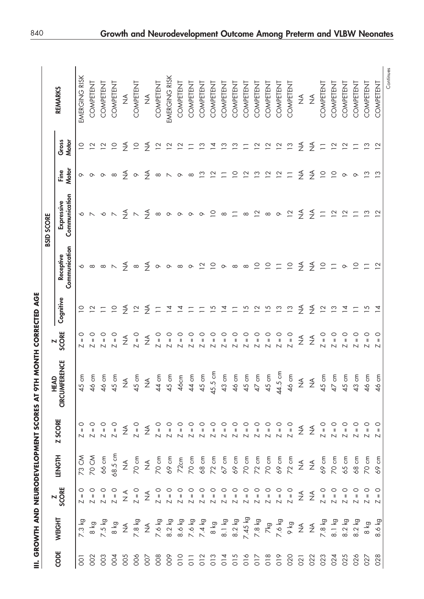| 1                                                       |
|---------------------------------------------------------|
|                                                         |
|                                                         |
|                                                         |
|                                                         |
|                                                         |
|                                                         |
| <b>GROWTH AND NEIRODEVEI ORAENT SCORES AT OTH MONT!</b> |
|                                                         |
|                                                         |

|                |               |                                                                                                                                                                                                                                                                                                                                                                                                                                                                     |               | <b>HIG IT SARGOS INTENSIONALE AND ATTENORS (II</b>                                    |                              |                                                | MONTH CORRECTED AGE   |                            | <b>BSID SCORE</b>            |                              |                 |                  |
|----------------|---------------|---------------------------------------------------------------------------------------------------------------------------------------------------------------------------------------------------------------------------------------------------------------------------------------------------------------------------------------------------------------------------------------------------------------------------------------------------------------------|---------------|---------------------------------------------------------------------------------------|------------------------------|------------------------------------------------|-----------------------|----------------------------|------------------------------|------------------------------|-----------------|------------------|
| CODE           | <b>WEIGHT</b> | <b>Z<br/>SCORE</b>                                                                                                                                                                                                                                                                                                                                                                                                                                                  | <b>LENGTH</b> | <b>Z SCORE</b>                                                                        | <b>CIRCUMFERENCE</b><br>HEAD | <b>SCORE</b><br>$\blacksquare$                 | Cognitive             | Communication<br>Receptive | Communication<br>Expressive  | Motor<br>Fine                | Gross<br>Motor  | <b>REMARKS</b>   |
| $\overline{O}$ |               | $\begin{array}{ c c c c c c } \hline \multicolumn{3}{ c }{\bigcirc} & \multicolumn{3}{ c }{\bigcirc} & \multicolumn{3}{ c }{\bigcirc} \\ \multicolumn{3}{ c }{\bigcirc} & \multicolumn{3}{ c }{\bigcirc} & \multicolumn{3}{ c }{\bigcirc} \\ \multicolumn{3}{ c }{\bigcirc} & \multicolumn{3}{ c }{\bigcirc} & \multicolumn{3}{ c }{\bigcirc} & \multicolumn{3}{ c }{\bigcirc} \\ \multicolumn{3}{ c }{\bigcirc} & \multicolumn{3}{ c }{\bigcirc} & \multicolumn{3$ |               |                                                                                       | 45 cm                        | $\circ$<br>$\sf II$<br>$\overline{\mathsf{N}}$ | $\supseteq$           | ∿                          |                              | ᡐ                            | $\supseteq$     | EMERGING RISK    |
| $\overline{O}$ |               |                                                                                                                                                                                                                                                                                                                                                                                                                                                                     |               | $\begin{array}{cccc} 0 & 0 & 0 \\ 0 & 0 & 0 \\ 0 & 0 & 0 \\ 0 & 0 & 0 \\ \end{array}$ |                              | $\circ$<br>$\overline{\mathsf{N}}$             | $\tilde{c}$           | $\infty$                   | $\sim$ $\sim$                | $\circ$                      | $\tilde{ }$     | COMPETENT        |
| $\overline{O}$ |               |                                                                                                                                                                                                                                                                                                                                                                                                                                                                     |               |                                                                                       |                              | o<br>⊪<br>$\overline{\mathsf{N}}$              | $\Box$                | $\infty$                   | $\circ$                      | $\circ$                      | $\overline{a}$  | COMPETENT        |
| 004            |               |                                                                                                                                                                                                                                                                                                                                                                                                                                                                     |               |                                                                                       |                              | $Z = 0$                                        | $\supseteq$           | $\overline{\phantom{a}}$   | $\boldsymbol{\mathop{\sim}}$ | $\infty$                     | $\supseteq$     | COMPETENT        |
| 005            |               | $\frac{1}{2}$                                                                                                                                                                                                                                                                                                                                                                                                                                                       |               | $\widetilde{\Sigma}$                                                                  |                              | $\frac{1}{2}$                                  | $\frac{3}{2}$         |                            |                              | $\frac{3}{2}$                | $\frac{3}{2}$   | ≨                |
| 006            |               | $Z = 0$                                                                                                                                                                                                                                                                                                                                                                                                                                                             |               | $Z = 0$                                                                               |                              | $Z = 0$                                        | $\overline{2}$        | $\frac{4}{2}$ $\infty$     | $rac{4}{2}$ $\sim$           | $\infty$                     | $\overline{C}$  | COMPETENT        |
| $\overline{O}$ |               | $\stackrel{\triangleleft}{\geq}$                                                                                                                                                                                                                                                                                                                                                                                                                                    |               |                                                                                       |                              | $\frac{1}{2}$                                  | ₹                     | $\frac{4}{2}$              | $\frac{3}{2}$                | ₹                            | $\frac{3}{2}$   | $\frac{1}{2}$    |
| 008            |               |                                                                                                                                                                                                                                                                                                                                                                                                                                                                     |               |                                                                                       |                              | $\circ$<br>$\overline{\mathsf{N}}$             | $\equiv$              | $\infty$                   | $\infty$                     | $\infty$                     | $\overline{c}$  | COMPETENT        |
| 800            |               |                                                                                                                                                                                                                                                                                                                                                                                                                                                                     |               |                                                                                       |                              | $\circ$<br>$\overline{\mathsf{N}}$             | $\overline{4}$        | $\circ$                    | $\infty$                     | $\boldsymbol{\mathop{\sim}}$ | $\overline{2}$  | EMERGING RISK    |
|                |               |                                                                                                                                                                                                                                                                                                                                                                                                                                                                     |               |                                                                                       |                              | င<br>။                                         | $\bar{z}$             | ${}^{\infty}$              | $\infty$                     | $\circ$                      | $\overline{2}$  | <b>COMPETENT</b> |
|                |               |                                                                                                                                                                                                                                                                                                                                                                                                                                                                     |               |                                                                                       |                              | $\mathbf{I}$                                   |                       | $\circ$                    | $\circ$                      | $\infty$                     | $\equiv$        | COMPETENT        |
|                |               |                                                                                                                                                                                                                                                                                                                                                                                                                                                                     |               |                                                                                       |                              | $\mathsf{I}$                                   |                       | $\overline{\phantom{0}}$   | $\circ$                      | $\frac{1}{2}$                | $\tilde{c}$     | COMPETENT        |
|                |               |                                                                                                                                                                                                                                                                                                                                                                                                                                                                     |               |                                                                                       |                              | $\mathbf{I}$                                   |                       | $\supseteq$                | $\supseteq$                  | $\overline{2}$               | $\overline{4}$  | COMPETENT        |
|                |               |                                                                                                                                                                                                                                                                                                                                                                                                                                                                     |               |                                                                                       |                              | င<br>။                                         |                       | $\circ$                    | ${}^{\infty}$                | $\overline{\phantom{0}}$     | $\frac{1}{2}$   | COMPETENT        |
|                |               |                                                                                                                                                                                                                                                                                                                                                                                                                                                                     |               |                                                                                       |                              | $\mathbf{I}$                                   |                       | $\infty$                   | $\overline{\phantom{0}}$     | $\supseteq$                  | $\frac{3}{2}$   | <b>COMPETENT</b> |
|                |               |                                                                                                                                                                                                                                                                                                                                                                                                                                                                     |               |                                                                                       |                              | င<br>။                                         | $\overline{5}$        | $\infty$                   | $^{\circ}$                   | $\overline{2}$               | Ξ               | COMPETENT        |
|                |               |                                                                                                                                                                                                                                                                                                                                                                                                                                                                     |               |                                                                                       |                              | $\circ$                                        | $\tilde{\phantom{a}}$ | $\supseteq$                | $\overline{2}$               | $\frac{1}{2}$                | $\overline{2}$  | COMPETENT        |
|                |               |                                                                                                                                                                                                                                                                                                                                                                                                                                                                     |               |                                                                                       |                              | $\circ$                                        | $\overline{5}$        | $\overline{C}$             | $\infty$                     | $\overline{2}$               | $\overline{2}$  | COMPETENT        |
|                |               |                                                                                                                                                                                                                                                                                                                                                                                                                                                                     |               |                                                                                       |                              | $\circ$<br>$\overline{\mathsf{N}}$             | $\tilde{c}$           | $\equiv$                   | $\infty$                     | $\overline{2}$               | $\overline{2}$  | COMPETENT        |
|                |               |                                                                                                                                                                                                                                                                                                                                                                                                                                                                     |               |                                                                                       |                              | $Z = 0$                                        | $\frac{3}{2}$         | $\overline{C}$             | $\overline{2}$               | $\Box$                       | $\frac{3}{2}$   | COMPETENT        |
| 021            |               | $\frac{1}{2}$                                                                                                                                                                                                                                                                                                                                                                                                                                                       |               |                                                                                       |                              | $\frac{1}{2}$                                  | ₹                     | $\frac{3}{2}$              | ₹                            | $\frac{3}{2}$                | ₹               | ≸                |
| 022            |               | $\frac{1}{2}$                                                                                                                                                                                                                                                                                                                                                                                                                                                       |               |                                                                                       |                              | $\frac{1}{2}$                                  | $\frac{3}{2}$         | $\frac{3}{2}$              | $\frac{3}{2}$                | $\frac{3}{2}$                | $\frac{4}{2}$   | $\frac{1}{2}$    |
| 023            |               |                                                                                                                                                                                                                                                                                                                                                                                                                                                                     |               |                                                                                       |                              | $Z = 0$                                        | $\overline{12}$       | $\overline{\phantom{0}}$   | $\equiv$                     | $\overline{C}$               | $\Box$          | COMPETENT        |
| 024            |               |                                                                                                                                                                                                                                                                                                                                                                                                                                                                     |               |                                                                                       |                              | $\circ$<br>$\overline{\mathsf{L}}$             | $\frac{1}{2}$         | $\Box$                     | $\overline{12}$              | $\overline{C}$               | $\overline{12}$ | COMPETENT        |
| 025            |               |                                                                                                                                                                                                                                                                                                                                                                                                                                                                     |               |                                                                                       |                              | $\circ$<br>$\mathbf{I}$                        | $\overline{4}$        | $\circ$                    | $\overline{\mathbf{C}}$      | $\circ$                      | $\overline{2}$  | COMPETENT        |
| 026            |               |                                                                                                                                                                                                                                                                                                                                                                                                                                                                     |               |                                                                                       |                              | $\mathbf{I}$                                   | $\equiv$              | $\overline{C}$             | $\overline{\phantom{0}}$     | $\infty$                     | $\equiv$        | COMPETENT        |
| 027            |               |                                                                                                                                                                                                                                                                                                                                                                                                                                                                     |               |                                                                                       |                              | $\mathbf{I}$                                   | 5                     | $\sqsubset$                | $\tilde{c}$                  | $\tilde{ }$                  | $\frac{1}{2}$   | COMPETENT        |
| 028            |               |                                                                                                                                                                                                                                                                                                                                                                                                                                                                     |               |                                                                                       |                              | $\circ$<br>$\sf II$                            | ₫                     | $\overline{C}$             | $\overline{2}$               | $\frac{3}{2}$                | $\overline{2}$  | COMPETENT        |
|                |               |                                                                                                                                                                                                                                                                                                                                                                                                                                                                     |               |                                                                                       |                              |                                                |                       |                            |                              |                              |                 | Continues        |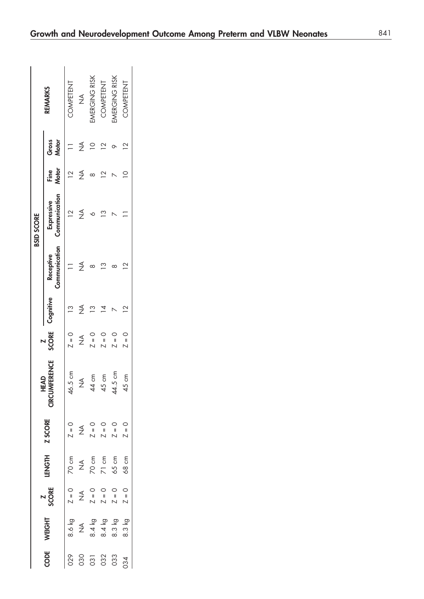|            |               |                    |                  |                |                       |                                |                |                            | <b>BSID SCORE</b>           |                |                         |                      |
|------------|---------------|--------------------|------------------|----------------|-----------------------|--------------------------------|----------------|----------------------------|-----------------------------|----------------|-------------------------|----------------------|
| CODE       | WEIGHT        | <b>Z<br/>SCORE</b> | <b>LENGTH</b>    | <b>Z SCORE</b> | <b>ERENCE</b><br>HEAD | <b>SCORE</b><br>$\overline{N}$ | Cognitive      | Communication<br>Receptive | Communication<br>Expressive | Fine<br>Motor  | Gross<br><b>Motor</b>   | <b>REMARKS</b>       |
| 029        | 8.6 kg        | $Z = 0$            | 70cm             | $Z = 0$        | E<br>46.5             | $Z = 0$                        | $\frac{1}{2}$  |                            |                             | $\overline{C}$ |                         | COMPETENT            |
| 030        | $\frac{1}{2}$ | $\frac{1}{2}$      | $\frac{1}{2}$    | $\frac{1}{2}$  | $\frac{3}{2}$         | $\frac{1}{2}$                  | ≨              |                            | ≸                           | $\frac{1}{2}$  |                         | $rac{4}{5}$          |
| 031        | 8.4 kg        |                    | 70 cm            | $Z = 0$        | E<br>$\overline{4}$   | $Z = 0$                        | <u>က</u>       |                            |                             |                |                         | <b>IMERGING RISK</b> |
| 032<br>033 | 8.4 kg        | $Z = 0$<br>$Z = 0$ | $71 cm$<br>65 cm | $Z = 0$        | 45 cm                 | 0 = Z                          |                | $\tilde{\mathbf{c}}$       |                             |                |                         | COMPETENT            |
|            | 8.3 kg        | $Z = 0$            |                  | $Z = 0$        | E<br>Cm<br>44.5       | $7 = 0$                        |                |                            |                             |                |                         | <b>IMERGING RISK</b> |
| 034        | 8.3 kg        | $Z = 0$            | 68cm             | $Z = 0$        | E<br>G<br>45          | $Z = 0$                        | $\overline{C}$ | $\geq$                     |                             |                | $\overline{\mathbf{C}}$ | COMPETENT            |
|            |               |                    |                  |                |                       |                                |                |                            |                             |                |                         |                      |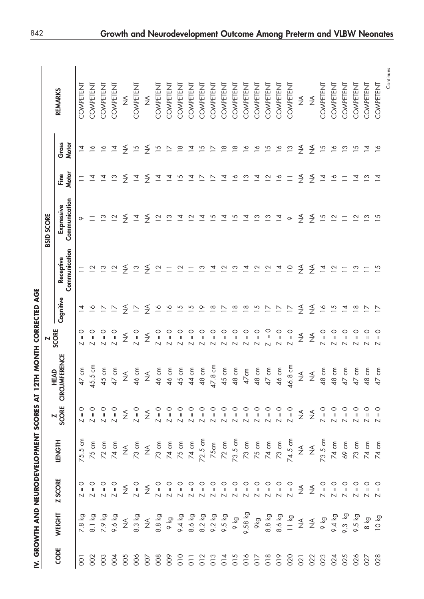| I                                                                                                                                                                                                                              |
|--------------------------------------------------------------------------------------------------------------------------------------------------------------------------------------------------------------------------------|
|                                                                                                                                                                                                                                |
| į                                                                                                                                                                                                                              |
|                                                                                                                                                                                                                                |
| viewerkerkeiter in den staat de kaaplester van de kaaplester van de kaaplester van de kaaplester van de kaaplester van de kaaplester van de kaaplester van de kaaplester van de kaaplester van de kaaplester van de kaaplester |
| I                                                                                                                                                                                                                              |

|                |               |                |        |                                                                                                                                                                                                                                                                                                                                                                                                                                                                                                                                                                                                                                                                                                                                                                                                                           | IV. GROWTH AND NEURODEVELOPMENT SCORES AT 12TH MONTH CORRECTED AGE                                                                                                                                                                                                                                                                                                                                                      |                                    |                          |                            |                             |                         |                      |                  |  |
|----------------|---------------|----------------|--------|---------------------------------------------------------------------------------------------------------------------------------------------------------------------------------------------------------------------------------------------------------------------------------------------------------------------------------------------------------------------------------------------------------------------------------------------------------------------------------------------------------------------------------------------------------------------------------------------------------------------------------------------------------------------------------------------------------------------------------------------------------------------------------------------------------------------------|-------------------------------------------------------------------------------------------------------------------------------------------------------------------------------------------------------------------------------------------------------------------------------------------------------------------------------------------------------------------------------------------------------------------------|------------------------------------|--------------------------|----------------------------|-----------------------------|-------------------------|----------------------|------------------|--|
|                |               |                |        |                                                                                                                                                                                                                                                                                                                                                                                                                                                                                                                                                                                                                                                                                                                                                                                                                           |                                                                                                                                                                                                                                                                                                                                                                                                                         | N                                  |                          |                            | <b>BSID SCORE</b>           |                         |                      |                  |  |
| CODE           | <b>WEIGHT</b> | <b>Z SCORE</b> | LENGTH |                                                                                                                                                                                                                                                                                                                                                                                                                                                                                                                                                                                                                                                                                                                                                                                                                           | <b>Z</b><br>SCORE CIRCUMFERENCE                                                                                                                                                                                                                                                                                                                                                                                         | SCORE                              | Cognitive                | Communication<br>Receptive | Communication<br>Expressive | <b>Motor</b><br>Fine    | Gross<br>Motor       | <b>REMARKS</b>   |  |
| $\overline{5}$ |               |                |        |                                                                                                                                                                                                                                                                                                                                                                                                                                                                                                                                                                                                                                                                                                                                                                                                                           | $\begin{array}{ l l l l l }\hline c&\text{f}&\text{f}&\text{f}&\text{f}&\text{f}&\text{f}\\ \hline c&\text{f}&\text{f}&\text{f}&\text{f}&\text{f}&\text{f}\\ \hline c&\text{f}&\text{f}&\text{f}&\text{f}&\text{f}\\ \hline d&\text{f}&\text{f}&\text{f}&\text{f}&\text{f}\\ \hline d&\text{f}&\text{f}&\text{f}&\text{f}&\text{f}\\ \hline d&\text{f}&\text{f}&\text{f}&\text{f}&\text{f}\\ \hline d&\text{f}&\text{f$ | $\circ$<br>N                       |                          |                            | ᡐ                           |                         | $\overline{4}$       | COMPETENT        |  |
| 002            |               |                |        |                                                                                                                                                                                                                                                                                                                                                                                                                                                                                                                                                                                                                                                                                                                                                                                                                           |                                                                                                                                                                                                                                                                                                                                                                                                                         | $\circ$<br>N                       | $\frac{8}{1}$            | $\tilde{ }$                |                             |                         | $\frac{8}{1}$        | COMPETENT        |  |
|                |               |                |        |                                                                                                                                                                                                                                                                                                                                                                                                                                                                                                                                                                                                                                                                                                                                                                                                                           |                                                                                                                                                                                                                                                                                                                                                                                                                         | $\circ$<br>$\overline{\mathsf{L}}$ | $\geq$                   | $\tilde{c}$                | $\tilde{c}$                 |                         | $\overline{6}$       | COMPETENT        |  |
|                |               |                |        |                                                                                                                                                                                                                                                                                                                                                                                                                                                                                                                                                                                                                                                                                                                                                                                                                           |                                                                                                                                                                                                                                                                                                                                                                                                                         | $\circ$<br>$\overline{\mathsf{L}}$ | $\geq$                   | $\overline{2}$             | $\overline{2}$              | $\frac{1}{2}$           | $\overline{4}$       | COMPETENT        |  |
|                |               |                |        | $\begin{array}{c}\n\searrow & 0 \\ \searrow & 0 \\ \searrow & 0\n\end{array}$                                                                                                                                                                                                                                                                                                                                                                                                                                                                                                                                                                                                                                                                                                                                             |                                                                                                                                                                                                                                                                                                                                                                                                                         | $\frac{1}{2}$                      | $\frac{3}{2}$            | $\frac{3}{2}$              | $\frac{4}{2}$               | $\frac{4}{2}$           | $\frac{3}{2}$        | ≨                |  |
|                |               |                |        |                                                                                                                                                                                                                                                                                                                                                                                                                                                                                                                                                                                                                                                                                                                                                                                                                           |                                                                                                                                                                                                                                                                                                                                                                                                                         | $Z = 0$                            | $\overline{\phantom{0}}$ | $\tilde{c}$                | $\overline{4}$              | $\overline{4}$          | $\overline{5}$       | COMPETENT        |  |
|                |               |                |        |                                                                                                                                                                                                                                                                                                                                                                                                                                                                                                                                                                                                                                                                                                                                                                                                                           |                                                                                                                                                                                                                                                                                                                                                                                                                         | $\frac{1}{2}$                      | $\frac{4}{2}$            | ₹                          | ₹                           | ≸                       | $\frac{4}{2}$        | $\frac{1}{2}$    |  |
|                |               |                |        |                                                                                                                                                                                                                                                                                                                                                                                                                                                                                                                                                                                                                                                                                                                                                                                                                           |                                                                                                                                                                                                                                                                                                                                                                                                                         | $\circ$<br>$\overline{\mathsf{N}}$ | $\overline{6}$           | $\overline{2}$             | $\overline{2}$              | $\overline{4}$          | $\overline{15}$      | COMPETENT        |  |
|                |               |                |        |                                                                                                                                                                                                                                                                                                                                                                                                                                                                                                                                                                                                                                                                                                                                                                                                                           |                                                                                                                                                                                                                                                                                                                                                                                                                         | $\circ$<br>$\overline{\mathsf{L}}$ | $\overline{c}$           | $\equiv$                   | $\tilde{c}$                 | $\overline{4}$          | $\geq$               | COMPETENT        |  |
|                |               |                |        |                                                                                                                                                                                                                                                                                                                                                                                                                                                                                                                                                                                                                                                                                                                                                                                                                           |                                                                                                                                                                                                                                                                                                                                                                                                                         | $\circ$<br>$\overline{\mathsf{N}}$ | $\overline{5}$           | $\overline{2}$             | $\overline{4}$              | $\overline{5}$          | $\frac{8}{1}$        | COMPETENT        |  |
|                |               |                |        |                                                                                                                                                                                                                                                                                                                                                                                                                                                                                                                                                                                                                                                                                                                                                                                                                           |                                                                                                                                                                                                                                                                                                                                                                                                                         | $\circ$<br>$\overline{\mathsf{N}}$ | $\overline{15}$          | $\equiv$                   | $\overline{\mathbf{C}}$     | $\overline{4}$          | $\overline{4}$       | <b>COMPETENT</b> |  |
|                |               |                |        |                                                                                                                                                                                                                                                                                                                                                                                                                                                                                                                                                                                                                                                                                                                                                                                                                           |                                                                                                                                                                                                                                                                                                                                                                                                                         | $\mathbf{I}$<br>N                  | $\tilde{=}$              | $\tilde{c}$                | 4                           |                         | $\overline{5}$       | COMPETENT        |  |
|                |               |                |        |                                                                                                                                                                                                                                                                                                                                                                                                                                                                                                                                                                                                                                                                                                                                                                                                                           |                                                                                                                                                                                                                                                                                                                                                                                                                         | ာ<br>။<br>N                        | $\frac{8}{1}$            | $\overline{4}$             | 5                           |                         |                      | COMPETENT        |  |
|                |               |                |        |                                                                                                                                                                                                                                                                                                                                                                                                                                                                                                                                                                                                                                                                                                                                                                                                                           |                                                                                                                                                                                                                                                                                                                                                                                                                         | $\circ$<br>$\overline{\mathsf{N}}$ | $\geq$                   | $\overline{2}$             | $\overline{z}$              | 그                       | $\frac{8}{1}$        | COMPETENT        |  |
|                |               |                |        | ${\small \begin{array}{l} {\begin{array}{c} {\begin{array}{c} {\displaystyle \gamma} \\ {\displaystyle \gamma} \\ {\displaystyle \gamma} \\ {\displaystyle \gamma} \\ {\displaystyle \gamma} \\ {\displaystyle \gamma} \\ {\displaystyle \gamma} \\ {\displaystyle \gamma} \\ {\displaystyle \gamma} \\ {\displaystyle \gamma} \\ {\displaystyle \gamma} \\ {\displaystyle \gamma} \\ {\displaystyle \gamma} \\ {\displaystyle \gamma} \\ {\displaystyle \gamma} \\ {\displaystyle \gamma} \\ {\displaystyle \gamma} \\ {\displaystyle \gamma} \\ {\displaystyle \gamma} \\ {\displaystyle \gamma} \\ {\displaystyle \gamma} \\ {\displaystyle \gamma} \\ {\displaystyle \gamma} \\ {\displaystyle \gamma} \\ {\displaystyle \gamma} \\ {\displaystyle \gamma} \\ {\displaystyle \gamma} \\ {\displaystyle \gamma} \\ {\$ |                                                                                                                                                                                                                                                                                                                                                                                                                         | $\circ$<br>$\overline{\mathsf{N}}$ | $\frac{8}{1}$            | $\tilde{ }$                | $\overline{5}$              | $\leq$                  | $\approx$            | COMPETENT        |  |
|                |               |                |        |                                                                                                                                                                                                                                                                                                                                                                                                                                                                                                                                                                                                                                                                                                                                                                                                                           |                                                                                                                                                                                                                                                                                                                                                                                                                         | $\circ$<br>$\overline{\mathsf{N}}$ | $\frac{8}{1}$            | ₫                          | $\bar{z}$                   | $\infty$                | $\geq$               | COMPETENT        |  |
|                |               |                |        |                                                                                                                                                                                                                                                                                                                                                                                                                                                                                                                                                                                                                                                                                                                                                                                                                           |                                                                                                                                                                                                                                                                                                                                                                                                                         | $\circ$<br>Z                       | $\overline{15}$          | $\overline{2}$             | $\tilde{c}$                 | $\overline{4}$          | $\geq$               | COMPETENT        |  |
|                |               |                |        |                                                                                                                                                                                                                                                                                                                                                                                                                                                                                                                                                                                                                                                                                                                                                                                                                           |                                                                                                                                                                                                                                                                                                                                                                                                                         | $\circ$<br>$\overline{\mathsf{N}}$ | $\geq$                   | $\overline{2}$             | $\tilde{ }$                 | $\overline{\mathbf{C}}$ | $\overline{5}$       | COMPETENT        |  |
|                |               |                |        |                                                                                                                                                                                                                                                                                                                                                                                                                                                                                                                                                                                                                                                                                                                                                                                                                           |                                                                                                                                                                                                                                                                                                                                                                                                                         | $\circ$<br>$\overline{\mathsf{L}}$ | $\geq$                   | $\bar{z}$                  | $\overline{4}$              | $\frac{8}{1}$           | $\frac{8}{1}$        | COMPETENT        |  |
|                |               |                |        |                                                                                                                                                                                                                                                                                                                                                                                                                                                                                                                                                                                                                                                                                                                                                                                                                           |                                                                                                                                                                                                                                                                                                                                                                                                                         | $Z = 0$                            | $\geq$                   | $\supseteq$                | $\infty$                    | $\overline{-}$          | $\frac{3}{2}$        | COMPETENT        |  |
|                |               |                |        |                                                                                                                                                                                                                                                                                                                                                                                                                                                                                                                                                                                                                                                                                                                                                                                                                           | $\frac{4}{2}$ $\frac{4}{2}$                                                                                                                                                                                                                                                                                                                                                                                             | $\frac{1}{2}$                      | $\frac{4}{2}$            | ₹                          | ₹                           | ≸                       | $\frac{3}{2}$        | ≸                |  |
|                |               |                |        |                                                                                                                                                                                                                                                                                                                                                                                                                                                                                                                                                                                                                                                                                                                                                                                                                           |                                                                                                                                                                                                                                                                                                                                                                                                                         | $\frac{1}{2}$                      | $\frac{3}{2}$            | $\frac{4}{2}$              | $\frac{3}{2}$               | $\frac{4}{2}$           | $\frac{3}{2}$        | $\frac{1}{2}$    |  |
|                |               |                |        |                                                                                                                                                                                                                                                                                                                                                                                                                                                                                                                                                                                                                                                                                                                                                                                                                           |                                                                                                                                                                                                                                                                                                                                                                                                                         | $Z = 0$                            | $\frac{8}{1}$            | $\overline{4}$             | $\overline{5}$              | $\overline{4}$          | $\overline{5}$       | COMPETENT        |  |
|                |               |                |        |                                                                                                                                                                                                                                                                                                                                                                                                                                                                                                                                                                                                                                                                                                                                                                                                                           |                                                                                                                                                                                                                                                                                                                                                                                                                         | $\circ$<br>$\overline{\mathsf{N}}$ | $\overline{5}$           | $\overline{2}$             | $\overline{2}$              | $\leq$                  | $\geq$               | COMPETENT        |  |
|                |               |                |        |                                                                                                                                                                                                                                                                                                                                                                                                                                                                                                                                                                                                                                                                                                                                                                                                                           |                                                                                                                                                                                                                                                                                                                                                                                                                         | $\circ$<br>$\overline{\mathsf{N}}$ | $\overline{4}$           |                            |                             |                         | $\tilde{c}$          | COMPETENT        |  |
|                |               |                |        |                                                                                                                                                                                                                                                                                                                                                                                                                                                                                                                                                                                                                                                                                                                                                                                                                           |                                                                                                                                                                                                                                                                                                                                                                                                                         | $\circ$<br>$\overline{\mathsf{N}}$ | $\frac{8}{1}$            | ≌                          | $\bar{\mathbf{c}}$          | $\bar{z}$               | ∽                    | COMPETENT        |  |
|                |               |                |        |                                                                                                                                                                                                                                                                                                                                                                                                                                                                                                                                                                                                                                                                                                                                                                                                                           |                                                                                                                                                                                                                                                                                                                                                                                                                         | $\circ$<br>N                       | $\geq$                   |                            | m                           | က                       |                      | COMPETENT        |  |
|                |               |                |        |                                                                                                                                                                                                                                                                                                                                                                                                                                                                                                                                                                                                                                                                                                                                                                                                                           |                                                                                                                                                                                                                                                                                                                                                                                                                         | $\circ$<br>$\sf II$<br>N           | $\geq$                   | $\overline{15}$            | $\overline{5}$              | 4                       | $\overset{\circ}{=}$ | COMPETENT        |  |
|                |               |                |        |                                                                                                                                                                                                                                                                                                                                                                                                                                                                                                                                                                                                                                                                                                                                                                                                                           |                                                                                                                                                                                                                                                                                                                                                                                                                         |                                    |                          |                            |                             |                         |                      | Continues        |  |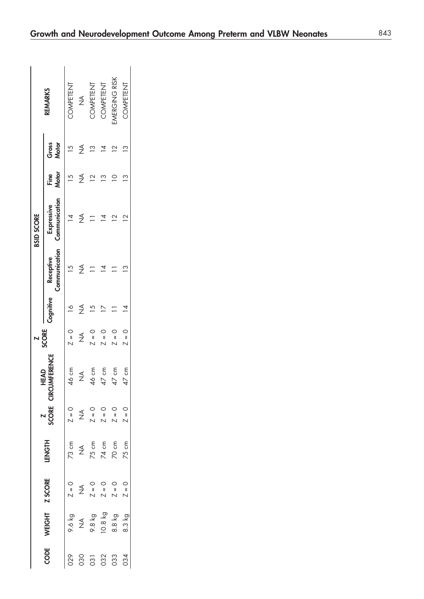|                    | <b>REMARKS</b>              | COMPETENT     | $\frac{1}{2}$    | COMPETENT                                                                                                                                                                                                                                                                                                                                                                                                                                                                                                                                    | COMPETENT                   | MERGING RISK    | <b>COMPETENT</b> |
|--------------------|-----------------------------|---------------|------------------|----------------------------------------------------------------------------------------------------------------------------------------------------------------------------------------------------------------------------------------------------------------------------------------------------------------------------------------------------------------------------------------------------------------------------------------------------------------------------------------------------------------------------------------------|-----------------------------|-----------------|------------------|
| <b>BSID SCORE</b>  | Gross<br>Motor              |               | ≸                | $\tilde{c}$                                                                                                                                                                                                                                                                                                                                                                                                                                                                                                                                  |                             | $\mathbf 2$     | $\mathbf{r}$     |
|                    | Motor<br>Fine               |               | $\frac{1}{2}$    |                                                                                                                                                                                                                                                                                                                                                                                                                                                                                                                                              | $\mathbf{\degree}$          |                 | $\frac{3}{2}$    |
|                    | Communication<br>Expressive |               | $\frac{1}{2}$    |                                                                                                                                                                                                                                                                                                                                                                                                                                                                                                                                              |                             |                 |                  |
|                    | Communication<br>Receptive  |               | ≶                |                                                                                                                                                                                                                                                                                                                                                                                                                                                                                                                                              |                             |                 |                  |
|                    | Cognitive                   | $\frac{8}{1}$ |                  |                                                                                                                                                                                                                                                                                                                                                                                                                                                                                                                                              |                             |                 |                  |
| <b>Z<br/>SCORE</b> |                             | $Z = 0$       | $\frac{1}{2}$    | $\overline{Z} = 0$                                                                                                                                                                                                                                                                                                                                                                                                                                                                                                                           | $\frac{1}{2}$               | $\frac{1}{1}$   | $Z = 0$          |
| HEAD               | CIRCUMFERENCE               | 46 cm         | $\frac{1}{2}$    | 46 cm                                                                                                                                                                                                                                                                                                                                                                                                                                                                                                                                        | 47 cm                       | $47 \text{ cm}$ | 17 cm            |
| SCORE <sup></sup>  |                             | $Z = 0$       |                  | $X = 0$<br>$X = 0$<br>$X = 0$                                                                                                                                                                                                                                                                                                                                                                                                                                                                                                                |                             | $Z = 0$         | $Z = 0$          |
| <b>HONGH</b>       |                             |               |                  |                                                                                                                                                                                                                                                                                                                                                                                                                                                                                                                                              |                             |                 | 75 cm            |
|                    |                             | $Z = 0$       |                  | $\begin{array}{ccccccccc} & \triangle & & \triangle & & \triangle & & \triangle & \\ & \triangle & & \parallel & \parallel & \parallel & \\ & \triangle & & \triangleright & \triangleright & \triangleright & \\ & \triangleright & & \triangleright & \triangleright & \triangleright & \\ & \triangleright & & \triangleright & \triangleright & \triangleright & \\ & \triangleright & & \triangleright & \triangleright & \triangleright & \\ & \triangleright & & \triangleright & \triangleright & \triangleright & \\ & \end{array}$ |                             |                 | $Z = 0$          |
| WEIGHT Z SCORE     |                             | 9.6 kg        | $\sum_{i=1}^{n}$ |                                                                                                                                                                                                                                                                                                                                                                                                                                                                                                                                              | 9.8 kg<br>IO.8 kg<br>8.8 kg |                 | 8.3 kg           |
| CODE               |                             | 029           | 030              |                                                                                                                                                                                                                                                                                                                                                                                                                                                                                                                                              | 031                         | 033             | 034              |